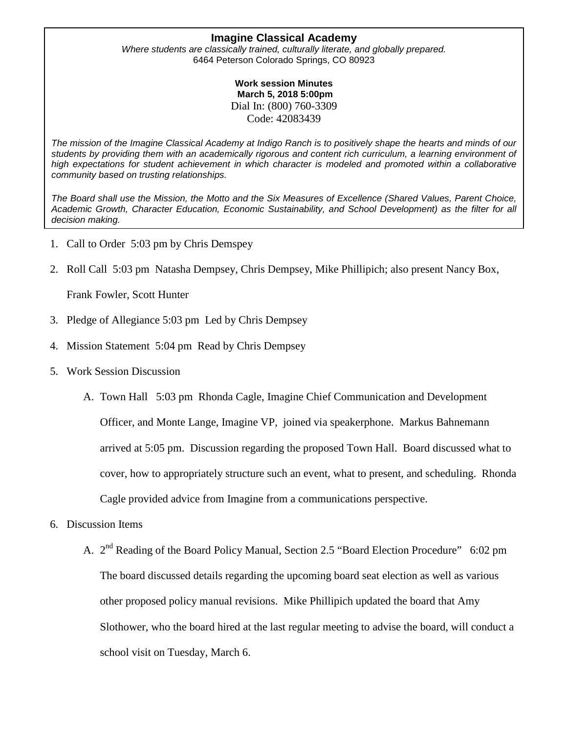#### **Imagine Classical Academy**

*Where students are classically trained, culturally literate, and globally prepared.* 6464 Peterson Colorado Springs, CO 80923

> **Work session Minutes March 5, 2018 5:00pm**  Dial In: (800) 760-3309 Code: 42083439

*The mission of the Imagine Classical Academy at Indigo Ranch is to positively shape the hearts and minds of our students by providing them with an academically rigorous and content rich curriculum, a learning environment of high expectations for student achievement in which character is modeled and promoted within a collaborative community based on trusting relationships.*

*The Board shall use the Mission, the Motto and the Six Measures of Excellence (Shared Values, Parent Choice, Academic Growth, Character Education, Economic Sustainability, and School Development) as the filter for all decision making.*

- 1. Call to Order 5:03 pm by Chris Demspey
- 2. Roll Call 5:03 pm Natasha Dempsey, Chris Dempsey, Mike Phillipich; also present Nancy Box,

Frank Fowler, Scott Hunter

- 3. Pledge of Allegiance 5:03 pm Led by Chris Dempsey
- 4. Mission Statement 5:04 pm Read by Chris Dempsey
- 5. Work Session Discussion
	- A. Town Hall 5:03 pm Rhonda Cagle, Imagine Chief Communication and Development Officer, and Monte Lange, Imagine VP, joined via speakerphone. Markus Bahnemann arrived at 5:05 pm. Discussion regarding the proposed Town Hall. Board discussed what to cover, how to appropriately structure such an event, what to present, and scheduling. Rhonda Cagle provided advice from Imagine from a communications perspective.
- 6. Discussion Items
	- A. 2<sup>nd</sup> Reading of the Board Policy Manual, Section 2.5 "Board Election Procedure" 6:02 pm The board discussed details regarding the upcoming board seat election as well as various other proposed policy manual revisions. Mike Phillipich updated the board that Amy Slothower, who the board hired at the last regular meeting to advise the board, will conduct a school visit on Tuesday, March 6.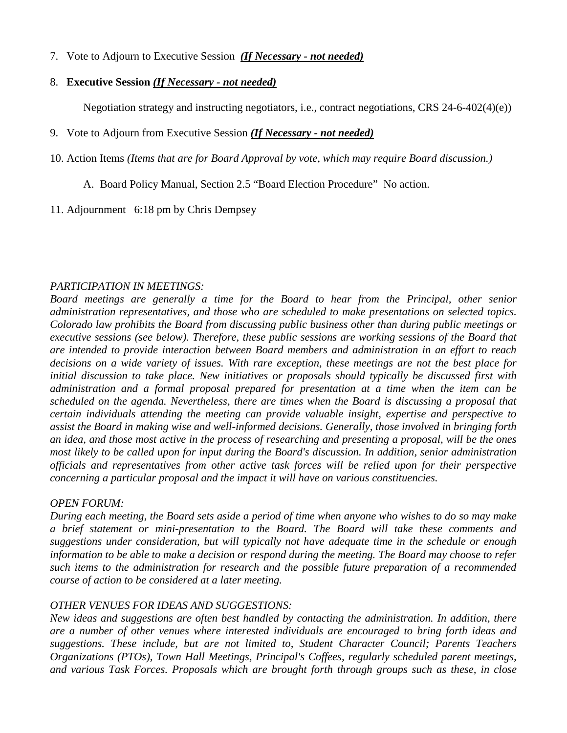7. Vote to Adjourn to Executive Session *(If Necessary - not needed)*

#### 8. **Executive Session** *(If Necessary - not needed)*

Negotiation strategy and instructing negotiators, i.e., contract negotiations, CRS 24-6-402(4)(e))

### 9. Vote to Adjourn from Executive Session *(If Necessary - not needed)*

10. Action Items *(Items that are for Board Approval by vote, which may require Board discussion.)*

- A. Board Policy Manual, Section 2.5 "Board Election Procedure" No action.
- 11. Adjournment 6:18 pm by Chris Dempsey

# *PARTICIPATION IN MEETINGS:*

*Board meetings are generally a time for the Board to hear from the Principal, other senior administration representatives, and those who are scheduled to make presentations on selected topics. Colorado law prohibits the Board from discussing public business other than during public meetings or executive sessions (see below). Therefore, these public sessions are working sessions of the Board that are intended to provide interaction between Board members and administration in an effort to reach decisions on a wide variety of issues. With rare exception, these meetings are not the best place for initial discussion to take place. New initiatives or proposals should typically be discussed first with administration and a formal proposal prepared for presentation at a time when the item can be scheduled on the agenda. Nevertheless, there are times when the Board is discussing a proposal that certain individuals attending the meeting can provide valuable insight, expertise and perspective to assist the Board in making wise and well-informed decisions. Generally, those involved in bringing forth an idea, and those most active in the process of researching and presenting a proposal, will be the ones most likely to be called upon for input during the Board's discussion. In addition, senior administration officials and representatives from other active task forces will be relied upon for their perspective concerning a particular proposal and the impact it will have on various constituencies.* 

# *OPEN FORUM:*

*During each meeting, the Board sets aside a period of time when anyone who wishes to do so may make a brief statement or mini-presentation to the Board. The Board will take these comments and suggestions under consideration, but will typically not have adequate time in the schedule or enough information to be able to make a decision or respond during the meeting. The Board may choose to refer such items to the administration for research and the possible future preparation of a recommended course of action to be considered at a later meeting.* 

# *OTHER VENUES FOR IDEAS AND SUGGESTIONS:*

*New ideas and suggestions are often best handled by contacting the administration. In addition, there are a number of other venues where interested individuals are encouraged to bring forth ideas and suggestions. These include, but are not limited to, Student Character Council; Parents Teachers Organizations (PTOs), Town Hall Meetings, Principal's Coffees, regularly scheduled parent meetings, and various Task Forces. Proposals which are brought forth through groups such as these, in close*